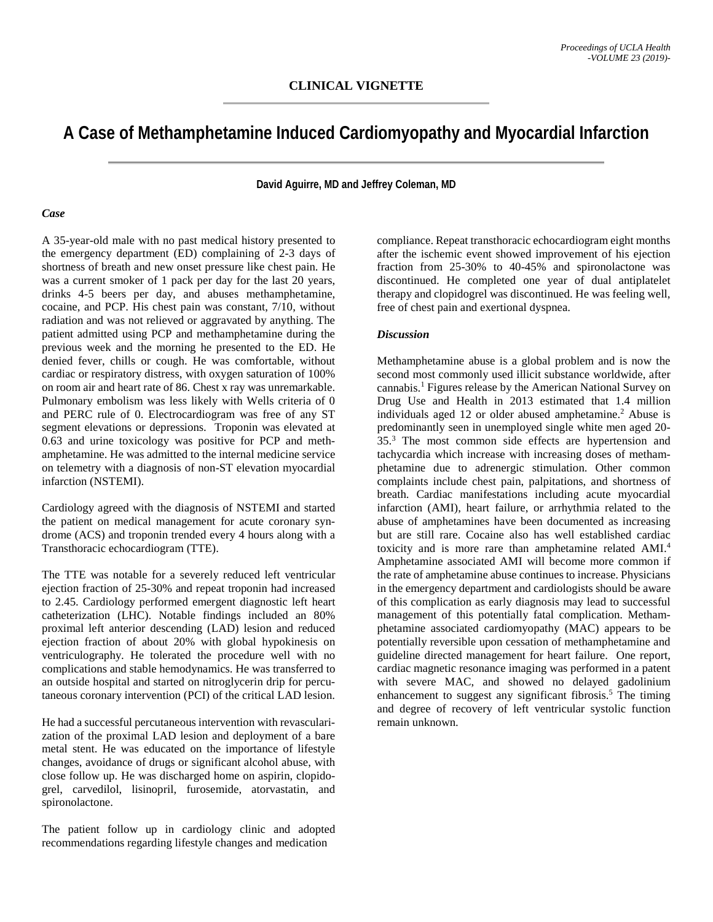## **A Case of Methamphetamine Induced Cardiomyopathy and Myocardial Infarction**

**David Aguirre, MD and Jeffrey Coleman, MD**

## *Case*

A 35-year-old male with no past medical history presented to the emergency department (ED) complaining of 2-3 days of shortness of breath and new onset pressure like chest pain. He was a current smoker of 1 pack per day for the last 20 years, drinks 4-5 beers per day, and abuses methamphetamine, cocaine, and PCP. His chest pain was constant, 7/10, without radiation and was not relieved or aggravated by anything. The patient admitted using PCP and methamphetamine during the previous week and the morning he presented to the ED. He denied fever, chills or cough. He was comfortable, without cardiac or respiratory distress, with oxygen saturation of 100% on room air and heart rate of 86. Chest x ray was unremarkable. Pulmonary embolism was less likely with Wells criteria of 0 and PERC rule of 0. Electrocardiogram was free of any ST segment elevations or depressions. Troponin was elevated at 0.63 and urine toxicology was positive for PCP and methamphetamine. He was admitted to the internal medicine service on telemetry with a diagnosis of non-ST elevation myocardial infarction (NSTEMI).

Cardiology agreed with the diagnosis of NSTEMI and started the patient on medical management for acute coronary syndrome (ACS) and troponin trended every 4 hours along with a Transthoracic echocardiogram (TTE).

The TTE was notable for a severely reduced left ventricular ejection fraction of 25-30% and repeat troponin had increased to 2.45. Cardiology performed emergent diagnostic left heart catheterization (LHC). Notable findings included an 80% proximal left anterior descending (LAD) lesion and reduced ejection fraction of about 20% with global hypokinesis on ventriculography. He tolerated the procedure well with no complications and stable hemodynamics. He was transferred to an outside hospital and started on nitroglycerin drip for percutaneous coronary intervention (PCI) of the critical LAD lesion.

He had a successful percutaneous intervention with revascularization of the proximal LAD lesion and deployment of a bare metal stent. He was educated on the importance of lifestyle changes, avoidance of drugs or significant alcohol abuse, with close follow up. He was discharged home on aspirin, clopidogrel, carvedilol, lisinopril, furosemide, atorvastatin, and spironolactone.

The patient follow up in cardiology clinic and adopted recommendations regarding lifestyle changes and medication

compliance. Repeat transthoracic echocardiogram eight months after the ischemic event showed improvement of his ejection fraction from 25-30% to 40-45% and spironolactone was discontinued. He completed one year of dual antiplatelet therapy and clopidogrel was discontinued. He was feeling well, free of chest pain and exertional dyspnea.

## *Discussion*

Methamphetamine abuse is a global problem and is now the second most commonly used illicit substance worldwide, after cannabis.<sup>1</sup> Figures release by the American National Survey on Drug Use and Health in 2013 estimated that 1.4 million individuals aged 12 or older abused amphetamine.<sup>2</sup> Abuse is predominantly seen in unemployed single white men aged 20- 35.3 The most common side effects are hypertension and tachycardia which increase with increasing doses of methamphetamine due to adrenergic stimulation. Other common complaints include chest pain, palpitations, and shortness of breath. Cardiac manifestations including acute myocardial infarction (AMI), heart failure, or arrhythmia related to the abuse of amphetamines have been documented as increasing but are still rare. Cocaine also has well established cardiac toxicity and is more rare than amphetamine related AMI. 4 Amphetamine associated AMI will become more common if the rate of amphetamine abuse continues to increase. Physicians in the emergency department and cardiologists should be aware of this complication as early diagnosis may lead to successful management of this potentially fatal complication. Methamphetamine associated cardiomyopathy (MAC) appears to be potentially reversible upon cessation of methamphetamine and guideline directed management for heart failure. One report, cardiac magnetic resonance imaging was performed in a patent with severe MAC, and showed no delayed gadolinium enhancement to suggest any significant fibrosis.<sup>5</sup> The timing and degree of recovery of left ventricular systolic function remain unknown.